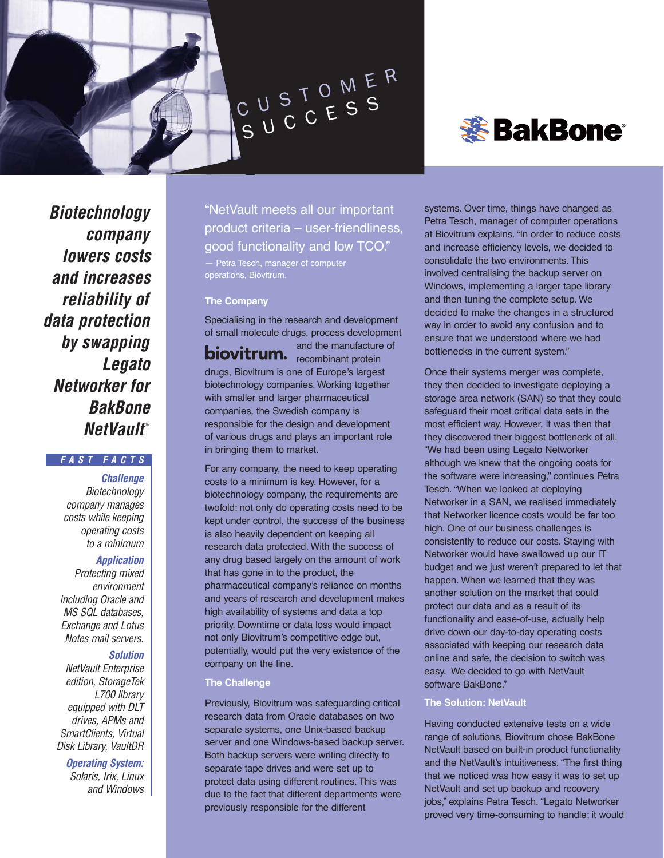

# *S*BakBone®

**Biotechnology company lowers costs and increases reliability of data protection by swapping Legato Networker for BakBone NetVault**™

# **FAST FACTS**

**Challenge Biotechnology** company manages costs while keeping operating costs to a minimum

# **Application**

Protecting mixed environment including Oracle and MS SQL databases, Exchange and Lotus Notes mail servers.

# **Solution**

NetVault Enterprise edition, StorageTek L700 library equipped with DLT drives, APMs and SmartClients, Virtual Disk Library, VaultDR

**Operating System:**

Solaris, Irix, Linux and Windows "NetVault meets all our important product criteria – user-friendliness, good functionality and low TCO."

— Petra Tesch, manager of computer operations, Biovitrum.

#### **The Company**

Specialising in the research and development of small molecule drugs, process development

and the manufacture of recombinant protein drugs, Biovitrum is one of Europe's largest biotechnology companies. Working together with smaller and larger pharmaceutical companies, the Swedish company is responsible for the design and development of various drugs and plays an important role in bringing them to market.

For any company, the need to keep operating costs to a minimum is key. However, for a biotechnology company, the requirements are twofold: not only do operating costs need to be kept under control, the success of the business is also heavily dependent on keeping all research data protected. With the success of any drug based largely on the amount of work that has gone in to the product, the pharmaceutical company's reliance on months and years of research and development makes high availability of systems and data a top priority. Downtime or data loss would impact not only Biovitrum's competitive edge but, potentially, would put the very existence of the company on the line.

## **The Challenge**

Previously, Biovitrum was safeguarding critical research data from Oracle databases on two separate systems, one Unix-based backup server and one Windows-based backup server. Both backup servers were writing directly to separate tape drives and were set up to protect data using different routines. This was due to the fact that different departments were previously responsible for the different

systems. Over time, things have changed as Petra Tesch, manager of computer operations at Biovitrum explains. "In order to reduce costs and increase efficiency levels, we decided to consolidate the two environments. This involved centralising the backup server on Windows, implementing a larger tape library and then tuning the complete setup. We decided to make the changes in a structured way in order to avoid any confusion and to ensure that we understood where we had bottlenecks in the current system."

Once their systems merger was complete, they then decided to investigate deploying a storage area network (SAN) so that they could safeguard their most critical data sets in the most efficient way. However, it was then that they discovered their biggest bottleneck of all. "We had been using Legato Networker although we knew that the ongoing costs for the software were increasing," continues Petra Tesch. "When we looked at deploying Networker in a SAN, we realised immediately that Networker licence costs would be far too high. One of our business challenges is consistently to reduce our costs. Staying with Networker would have swallowed up our IT budget and we just weren't prepared to let that happen. When we learned that they was another solution on the market that could protect our data and as a result of its functionality and ease-of-use, actually help drive down our day-to-day operating costs associated with keeping our research data online and safe, the decision to switch was easy. We decided to go with NetVault software BakBone."

## **The Solution: NetVault**

Having conducted extensive tests on a wide range of solutions, Biovitrum chose BakBone NetVault based on built-in product functionality and the NetVault's intuitiveness. "The first thing that we noticed was how easy it was to set up NetVault and set up backup and recovery jobs," explains Petra Tesch. "Legato Networker proved very time-consuming to handle; it would